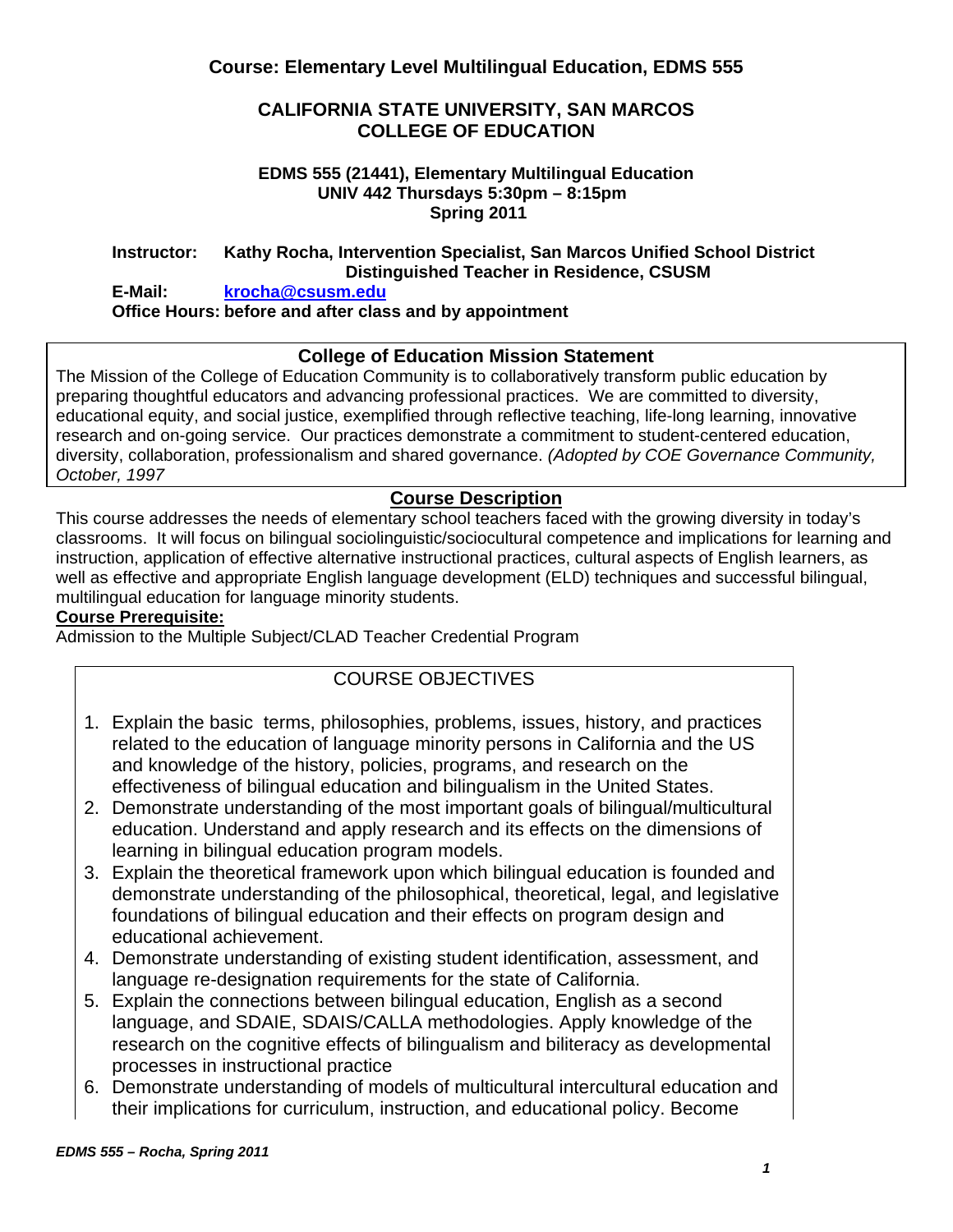### **CALIFORNIA STATE UNIVERSITY, SAN MARCOS COLLEGE OF EDUCATION**

#### **EDMS 555 (21441), Elementary Multilingual Education UNIV 442 Thursdays 5:30pm – 8:15pm Spring 2011**

### **Instructor: Kathy Rocha, Intervention Specialist, San Marcos Unified School District Distinguished Teacher in Residence, CSUSM**

#### **E-Mail: krocha@csusm.edu Office Hours: before and after class and by appointment**

# **College of Education Mission Statement**

The Mission of the College of Education Community is to collaboratively transform public education by preparing thoughtful educators and advancing professional practices. We are committed to diversity, educational equity, and social justice, exemplified through reflective teaching, life-long learning, innovative research and on-going service. Our practices demonstrate a commitment to student-centered education, diversity, collaboration, professionalism and shared governance. *(Adopted by COE Governance Community, October, 1997* 

# **Course Description**

 instruction, application of effective alternative instructional practices, cultural aspects of English learners, as This course addresses the needs of elementary school teachers faced with the growing diversity in today's classrooms. It will focus on bilingual sociolinguistic/sociocultural competence and implications for learning and well as effective and appropriate English language development (ELD) techniques and successful bilingual, multilingual education for language minority students.

#### **Course Prerequisite:**

Admission to the Multiple Subject/CLAD Teacher Credential Program

# COURSE OBJECTIVES

- 1. Explain the basic terms, philosophies, problems, issues, history, and practices related to the education of language minority persons in California and the US and knowledge of the history, policies, programs, and research on the effectiveness of bilingual education and bilingualism in the United States.
- 2. Demonstrate understanding of the most important goals of bilingual/multicultural education. Understand and apply research and its effects on the dimensions of learning in bilingual education program models.
- 3. Explain the theoretical framework upon which bilingual education is founded and demonstrate understanding of the philosophical, theoretical, legal, and legislative foundations of bilingual education and their effects on program design and educational achievement.
- 4. Demonstrate understanding of existing student identification, assessment, and language re-designation requirements for the state of California.
- 5. Explain the connections between bilingual education, English as a second language, and SDAIE, SDAIS/CALLA methodologies. Apply knowledge of the research on the cognitive effects of bilingualism and biliteracy as developmental processes in instructional practice
- 6. Demonstrate understanding of models of multicultural intercultural education and their implications for curriculum, instruction, and educational policy. Become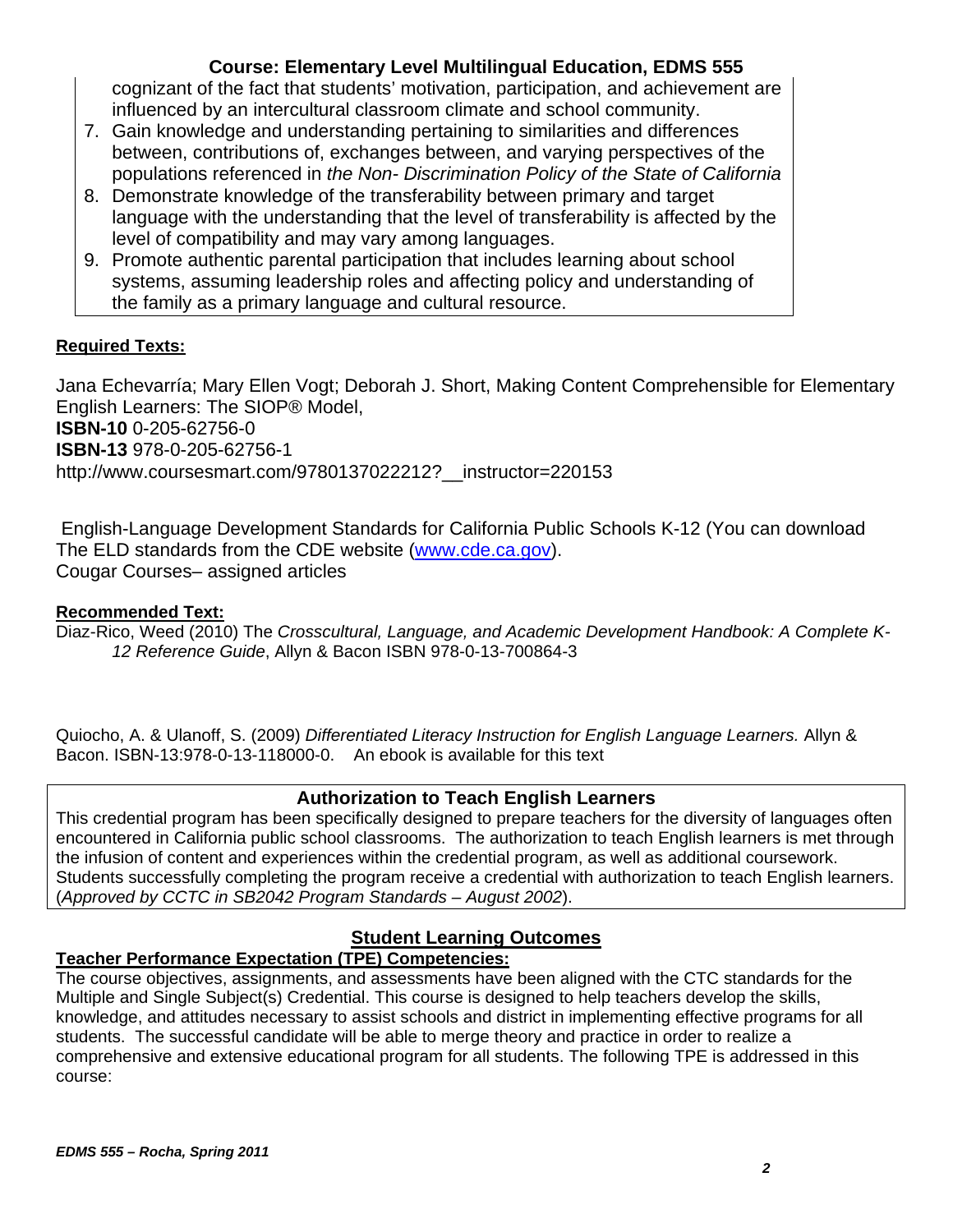cognizant of the fact that students' motivation, participation, and achievement are influenced by an intercultural classroom climate and school community.

- 7. Gain knowledge and understanding pertaining to similarities and differences between, contributions of, exchanges between, and varying perspectives of the populations referenced in *the Non- Discrimination Policy of the State of California*
- 8. Demonstrate knowledge of the transferability between primary and target language with the understanding that the level of transferability is affected by the level of compatibility and may vary among languages.
- 9. Promote authentic parental participation that includes learning about school systems, assuming leadership roles and affecting policy and understanding of the family as a primary language and cultural resource.

# **Required Texts:**

Jana Echevarría; Mary Ellen Vogt; Deborah J. Short, Making Content Comprehensible for Elementary English Learners: The SIOP® Model, **ISBN-10** 0-205-62756-0 **ISBN-13** 978-0-205-62756-1

http://www.coursesmart.com/9780137022212? instructor=220153

 English-Language Development Standards for California Public Schools K-12 (You can download The ELD standards from the CDE website (www.cde.ca.gov). Cougar Courses– assigned articles

## **Recommended Text:**

Diaz-Rico, Weed (2010) The *Crosscultural, Language, and Academic Development Handbook: A Complete K-12 Reference Guide*, Allyn & Bacon ISBN 978-0-13-700864-3

 Bacon. ISBN-13:978-0-13-118000-0. An ebook is available for this text Quiocho, A. & Ulanoff, S. (2009) *Differentiated Literacy Instruction for English Language Learners.* Allyn &

# **Authorization to Teach English Learners**

This credential program has been specifically designed to prepare teachers for the diversity of languages often encountered in California public school classrooms. The authorization to teach English learners is met through the infusion of content and experiences within the credential program, as well as additional coursework. Students successfully completing the program receive a credential with authorization to teach English learners. (*Approved by CCTC in SB2042 Program Standards – August 2002*).

# **Student Learning Outcomes**

# **Teacher Performance Expectation (TPE) Competencies:**

The course objectives, assignments, and assessments have been aligned with the CTC standards for the Multiple and Single Subject(s) Credential. This course is designed to help teachers develop the skills, knowledge, and attitudes necessary to assist schools and district in implementing effective programs for all students. The successful candidate will be able to merge theory and practice in order to realize a comprehensive and extensive educational program for all students. The following TPE is addressed in this course: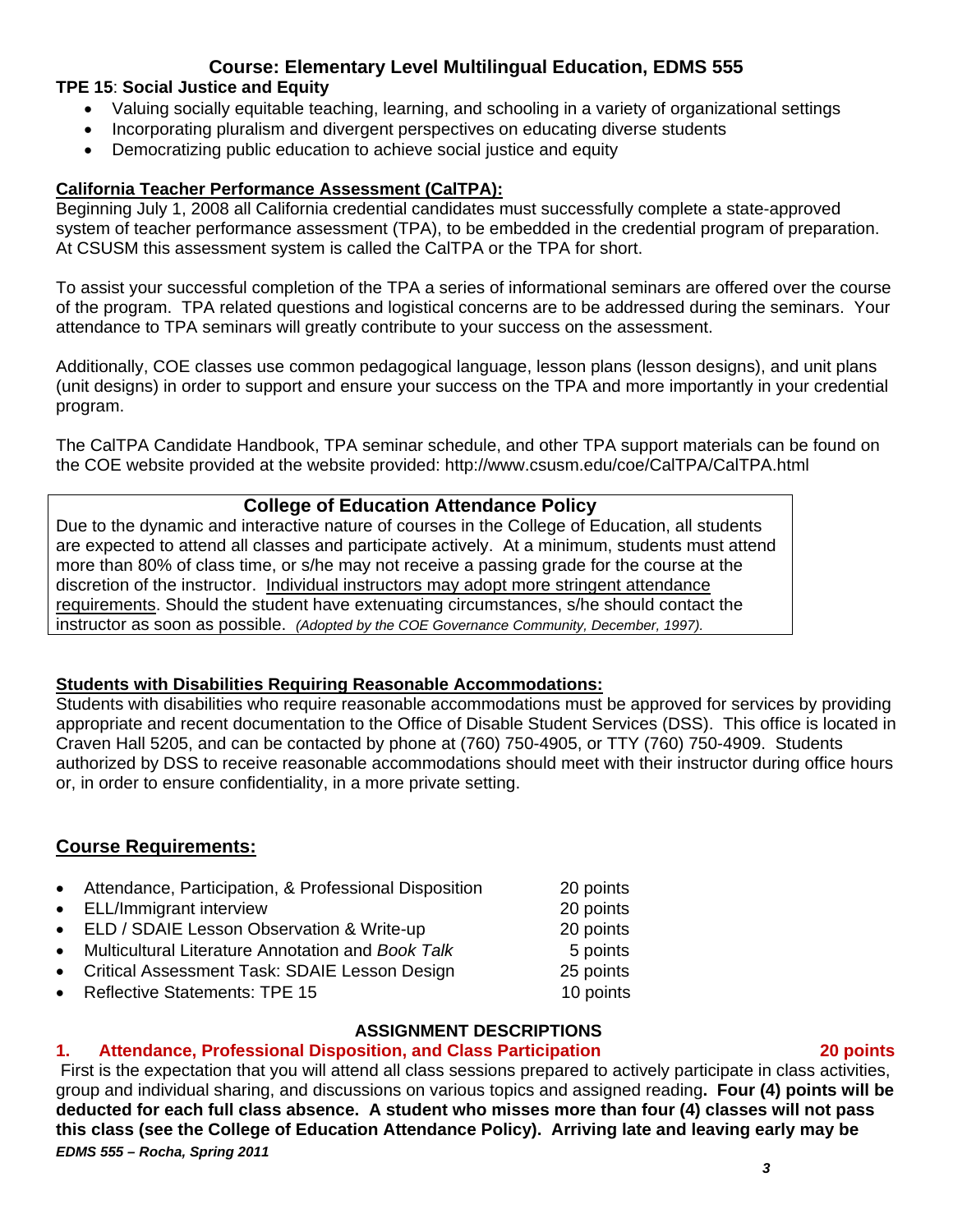#### **TPE 15**: **Social Justice and Equity**

- Valuing socially equitable teaching, learning, and schooling in a variety of organizational settings
- Incorporating pluralism and divergent perspectives on educating diverse students
- Democratizing public education to achieve social justice and equity

### **California Teacher Performance Assessment (CalTPA):**

system of teacher performance assessment (TPA), to be embedded in the credential program of preparation.<br>At CSUSM this assessment system is called the CalTPA or the TPA for short. Beginning July 1, 2008 all California credential candidates must successfully complete a state-approved

To assist your successful completion of the TPA a series of informational seminars are offered over the course of the program. TPA related questions and logistical concerns are to be addressed during the seminars. Your attendance to TPA seminars will greatly contribute to your success on the assessment.

Additionally, COE classes use common pedagogical language, lesson plans (lesson designs), and unit plans (unit designs) in order to support and ensure your success on the TPA and more importantly in your credential program.

The CalTPA Candidate Handbook, TPA seminar schedule, and other TPA support materials can be found on the COE website provided at the website provided: http://www.csusm.edu/coe/CalTPA/CalTPA.html

### **College of Education Attendance Policy**

 instructor as soon as possible. *(Adopted by the COE Governance Community, December, 1997).* Due to the dynamic and interactive nature of courses in the College of Education, all students are expected to attend all classes and participate actively. At a minimum, students must attend more than 80% of class time, or s/he may not receive a passing grade for the course at the discretion of the instructor. Individual instructors may adopt more stringent attendance requirements. Should the student have extenuating circumstances, s/he should contact the

#### **Students with Disabilities Requiring Reasonable Accommodations:**

Students with disabilities who require reasonable accommodations must be approved for services by providing appropriate and recent documentation to the Office of Disable Student Services (DSS). This office is located in Craven Hall 5205, and can be contacted by phone at (760) 750-4905, or TTY (760) 750-4909. Students authorized by DSS to receive reasonable accommodations should meet with their instructor during office hours or, in order to ensure confidentiality, in a more private setting.

# **Course Requirements:**

| • Attendance, Participation, & Professional Disposition | 20 points |
|---------------------------------------------------------|-----------|
| • ELL/Immigrant interview                               | 20 points |
| • ELD / SDAIE Lesson Observation & Write-up             | 20 points |
| • Multicultural Literature Annotation and Book Talk     | 5 points  |
| • Critical Assessment Task: SDAIE Lesson Design         | 25 points |
| • Reflective Statements: TPE 15                         | 10 points |

# **ASSIGNMENT DESCRIPTIONS**

#### $1<sub>1</sub>$ **1. Attendance, Professional Disposition, and Class Participation 20 points**

 *EDMS 555 – Rocha, Spring 2011*  First is the expectation that you will attend all class sessions prepared to actively participate in class activities, group and individual sharing, and discussions on various topics and assigned reading**. Four (4) points will be deducted for each full class absence. A student who misses more than four (4) classes will not pass this class (see the College of Education Attendance Policy). Arriving late and leaving early may be**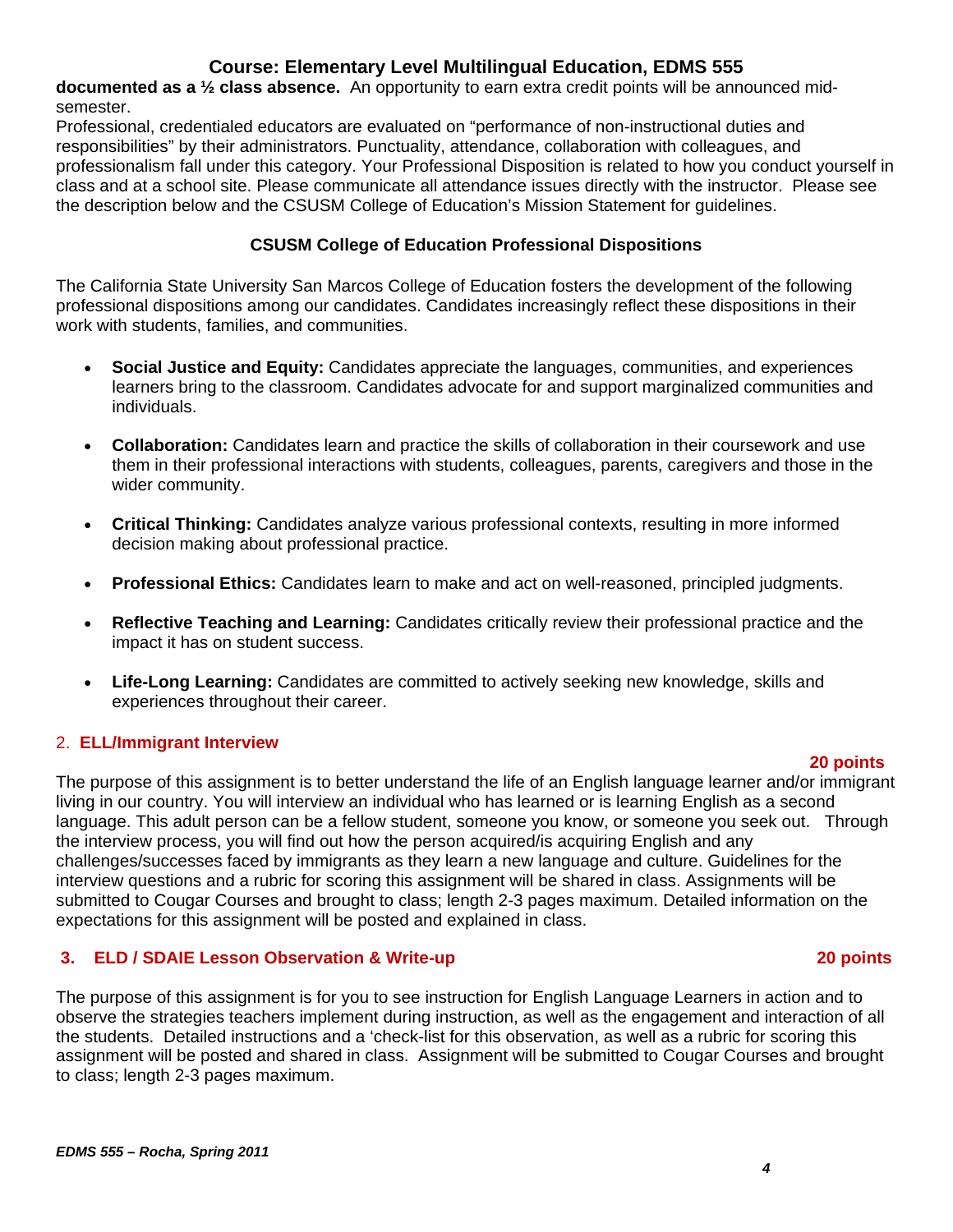**documented as a ½ class absence.** An opportunity to earn extra credit points will be announced midsemester.

 the description below and the CSUSM College of Education's Mission Statement for guidelines. Professional, credentialed educators are evaluated on "performance of non-instructional duties and responsibilities" by their administrators. Punctuality, attendance, collaboration with colleagues, and professionalism fall under this category. Your Professional Disposition is related to how you conduct yourself in class and at a school site. Please communicate all attendance issues directly with the instructor. Please see

## **CSUSM College of Education Professional Dispositions**

The California State University San Marcos College of Education fosters the development of the following professional dispositions among our candidates. Candidates increasingly reflect these dispositions in their work with students, families, and communities.

- **Social Justice and Equity:** Candidates appreciate the languages, communities, and experiences learners bring to the classroom. Candidates advocate for and support marginalized communities and individuals.
- **Collaboration:** Candidates learn and practice the skills of collaboration in their coursework and use them in their professional interactions with students, colleagues, parents, caregivers and those in the wider community.
- **Critical Thinking:** Candidates analyze various professional contexts, resulting in more informed decision making about professional practice.
- **Professional Ethics:** Candidates learn to make and act on well-reasoned, principled judgments.
- **Reflective Teaching and Learning:** Candidates critically review their professional practice and the impact it has on student success.
- experiences throughout their career. **Life-Long Learning:** Candidates are committed to actively seeking new knowledge, skills and

# 2. **ELL/Immigrant Interview**

#### **20 points**

The purpose of this assignment is to better understand the life of an English language learner and/or immigrant living in our country. You will interview an individual who has learned or is learning English as a second language. This adult person can be a fellow student, someone you know, or someone you seek out. Through the interview process, you will find out how the person acquired/is acquiring English and any challenges/successes faced by immigrants as they learn a new language and culture. Guidelines for the interview questions and a rubric for scoring this assignment will be shared in class. Assignments will be submitted to Cougar Courses and brought to class; length 2-3 pages maximum. Detailed information on the expectations for this assignment will be posted and explained in class.

# **3. ELD / SDAIE Lesson Observation & Write-up 20 points**

The purpose of this assignment is for you to see instruction for English Language Learners in action and to observe the strategies teachers implement during instruction, as well as the engagement and interaction of all the students. Detailed instructions and a 'check-list for this observation, as well as a rubric for scoring this assignment will be posted and shared in class. Assignment will be submitted to Cougar Courses and brought to class; length 2-3 pages maximum.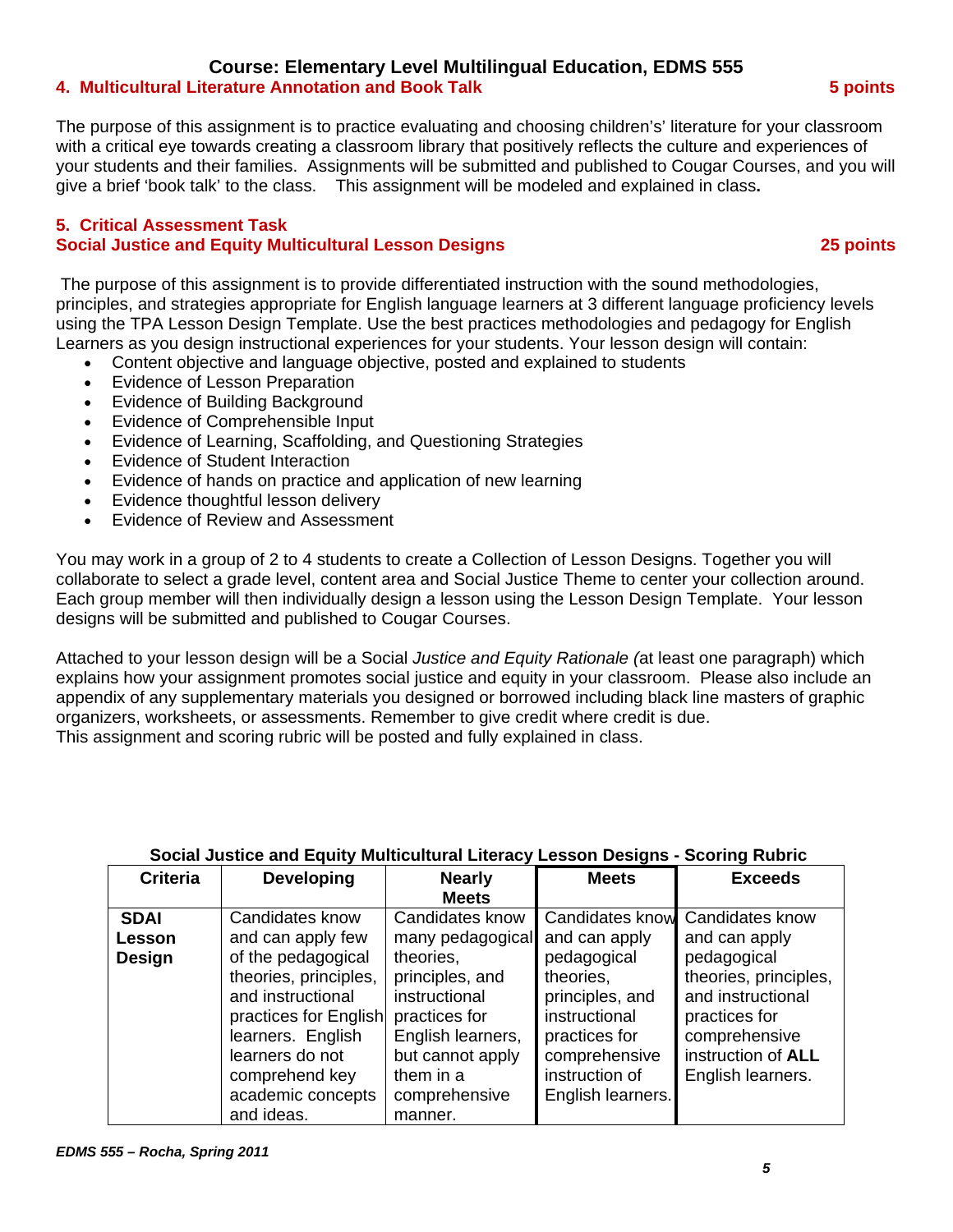#### **4. Multicultural Literature Annotation and Book Talk 5 points**

The purpose of this assignment is to practice evaluating and choosing children's' literature for your classroom with a critical eye towards creating a classroom library that positively reflects the culture and experiences of your students and their families. Assignments will be submitted and published to Cougar Courses, and you will give a brief 'book talk' to the class. This assignment will be modeled and explained in class**.** 

#### **5. Critical Assessment Task Social Justice and Equity Multicultural Lesson Designs 25 points**

 The purpose of this assignment is to provide differentiated instruction with the sound methodologies, principles, and strategies appropriate for English language learners at 3 different language proficiency levels using the TPA Lesson Design Template. Use the best practices methodologies and pedagogy for English Learners as you design instructional experiences for your students. Your lesson design will contain:

- Content objective and language objective, posted and explained to students
- Evidence of Lesson Preparation
- Evidence of Building Background
- Evidence of Comprehensible Input
- Evidence of Learning, Scaffolding, and Questioning Strategies
- Evidence of Student Interaction
- Evidence of hands on practice and application of new learning
- Evidence thoughtful lesson delivery
- Evidence of Review and Assessment

You may work in a group of 2 to 4 students to create a Collection of Lesson Designs. Together you will collaborate to select a grade level, content area and Social Justice Theme to center your collection around. Each group member will then individually design a lesson using the Lesson Design Template. Your lesson designs will be submitted and published to Cougar Courses.

Attached to your lesson design will be a Social *Justice and Equity Rationale (*at least one paragraph) which explains how your assignment promotes social justice and equity in your classroom. Please also include an appendix of any supplementary materials you designed or borrowed including black line masters of graphic organizers, worksheets, or assessments. Remember to give credit where credit is due. This assignment and scoring rubric will be posted and fully explained in class.

| <b>Criteria</b> | <b>Developing</b>     | <b>Nearly</b>     | <b>Meets</b>           | <b>Exceeds</b>        |
|-----------------|-----------------------|-------------------|------------------------|-----------------------|
|                 |                       | <b>Meets</b>      |                        |                       |
| <b>SDAI</b>     | Candidates know       | Candidates know   | <b>Candidates know</b> | Candidates know       |
| Lesson          | and can apply few     | many pedagogical  | and can apply          | and can apply         |
| Design          | of the pedagogical    | theories,         | pedagogical            | pedagogical           |
|                 | theories, principles, | principles, and   | theories,              | theories, principles, |
|                 | and instructional     | instructional     | principles, and        | and instructional     |
|                 | practices for English | practices for     | instructional          | practices for         |
|                 | learners. English     | English learners, | practices for          | comprehensive         |
|                 | learners do not       | but cannot apply  | comprehensive          | instruction of ALL    |
|                 | comprehend key        | them in a         | instruction of         | English learners.     |
|                 | academic concepts     | comprehensive     | English learners.      |                       |
|                 | and ideas.            | manner.           |                        |                       |

#### **Social Justice and Equity Multicultural Literacy Lesson Designs - Scoring Rubric**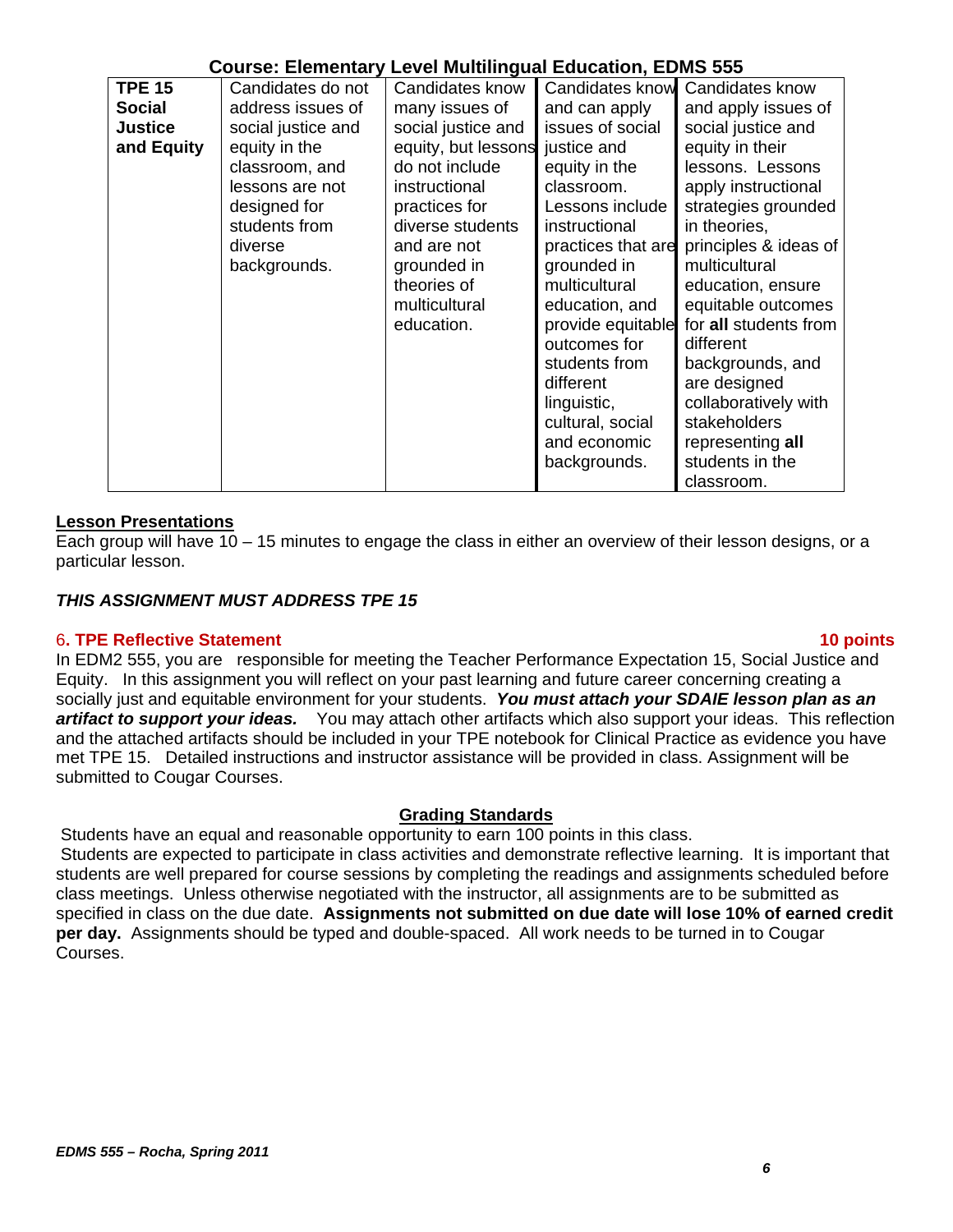| <b>TPE 15</b>  | Candidates do not  | Candidates know     | <b>Candidates know</b> | Candidates know       |
|----------------|--------------------|---------------------|------------------------|-----------------------|
| Social         | address issues of  | many issues of      | and can apply          | and apply issues of   |
| <b>Justice</b> | social justice and | social justice and  | issues of social       | social justice and    |
| and Equity     | equity in the      | equity, but lessons | justice and            | equity in their       |
|                | classroom, and     | do not include      | equity in the          | lessons. Lessons      |
|                | lessons are not    | instructional       | classroom.             | apply instructional   |
|                | designed for       | practices for       | Lessons include        | strategies grounded   |
|                | students from      | diverse students    | instructional          | in theories,          |
|                | diverse            | and are not         | practices that are     | principles & ideas of |
|                | backgrounds.       | grounded in         | grounded in            | multicultural         |
|                |                    | theories of         | multicultural          | education, ensure     |
|                |                    | multicultural       | education, and         | equitable outcomes    |
|                |                    | education.          | provide equitable      | for all students from |
|                |                    |                     | outcomes for           | different             |
|                |                    |                     | students from          | backgrounds, and      |
|                |                    |                     | different              | are designed          |
|                |                    |                     | linguistic,            | collaboratively with  |
|                |                    |                     | cultural, social       | stakeholders          |
|                |                    |                     | and economic           | representing all      |
|                |                    |                     | backgrounds.           | students in the       |
|                |                    |                     |                        | classroom.            |

#### **Lesson Presentations**

Each group will have 10 – 15 minutes to engage the class in either an overview of their lesson designs, or a particular lesson.

#### *THIS ASSIGNMENT MUST ADDRESS TPE 15*

#### 6**. TPE Reflective Statement 10 points**

In EDM2 555, you are responsible for meeting the Teacher Performance Expectation 15, Social Justice and Equity. In this assignment you will reflect on your past learning and future career concerning creating a socially just and equitable environment for your students. *You must attach your SDAIE lesson plan as an artifact to support your ideas.* You may attach other artifacts which also support your ideas. This reflection and the attached artifacts should be included in your TPE notebook for Clinical Practice as evidence you have met TPE 15. Detailed instructions and instructor assistance will be provided in class. Assignment will be submitted to Cougar Courses.

#### **Grading Standards**

Students have an equal and reasonable opportunity to earn 100 points in this class.

 Students are expected to participate in class activities and demonstrate reflective learning. It is important that students are well prepared for course sessions by completing the readings and assignments scheduled before class meetings. Unless otherwise negotiated with the instructor, all assignments are to be submitted as specified in class on the due date. **Assignments not submitted on due date will lose 10% of earned credit per day.** Assignments should be typed and double-spaced. All work needs to be turned in to Cougar Courses.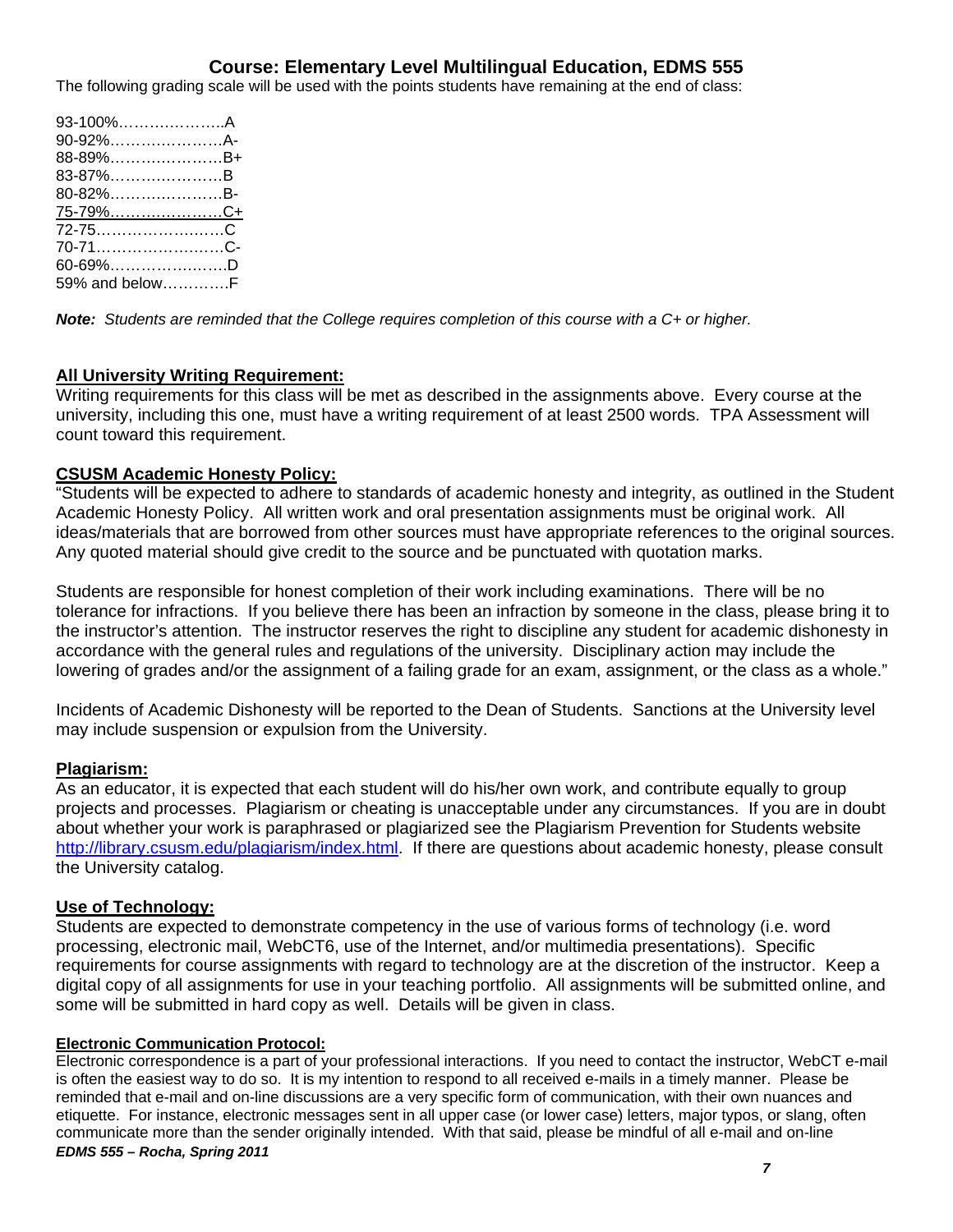The following grading scale will be used with the points students have remaining at the end of class:

| 93-100%A                |  |
|-------------------------|--|
| 90-92%A-                |  |
| 88-89%B+                |  |
| 83-87%B                 |  |
| 80-82%B-                |  |
| <u>75-79%……………………C+</u> |  |
|                         |  |
|                         |  |
| 60-69%D                 |  |
| 59% and belowF          |  |

*Note: Students are reminded that the College requires completion of this course with a C+ or higher.* 

#### **All University Writing Requirement:**

Writing requirements for this class will be met as described in the assignments above. Every course at the university, including this one, must have a writing requirement of at least 2500 words. TPA Assessment will count toward this requirement.

#### **CSUSM Academic Honesty Policy:**

"Students will be expected to adhere to standards of academic honesty and integrity, as outlined in the Student Academic Honesty Policy. All written work and oral presentation assignments must be original work. All ideas/materials that are borrowed from other sources must have appropriate references to the original sources. Any quoted material should give credit to the source and be punctuated with quotation marks.

Students are responsible for honest completion of their work including examinations. There will be no tolerance for infractions. If you believe there has been an infraction by someone in the class, please bring it to the instructor's attention. The instructor reserves the right to discipline any student for academic dishonesty in accordance with the general rules and regulations of the university. Disciplinary action may include the lowering of grades and/or the assignment of a failing grade for an exam, assignment, or the class as a whole."

Incidents of Academic Dishonesty will be reported to the Dean of Students. Sanctions at the University level may include suspension or expulsion from the University.

#### **Plagiarism:**

As an educator, it is expected that each student will do his/her own work, and contribute equally to group projects and processes. Plagiarism or cheating is unacceptable under any circumstances. If you are in doubt about whether your work is paraphrased or plagiarized see the Plagiarism Prevention for Students website http://library.csusm.edu/plagiarism/index.html</u>. If there are questions about academic honesty, please consult the University catalog.

#### **Use of Technology:**

Students are expected to demonstrate competency in the use of various forms of technology (i.e. word processing, electronic mail, WebCT6, use of the Internet, and/or multimedia presentations). Specific requirements for course assignments with regard to technology are at the discretion of the instructor. Keep a digital copy of all assignments for use in your teaching portfolio. All assignments will be submitted online, and some will be submitted in hard copy as well. Details will be given in class.

#### **Electronic Communication Protocol:**

 *EDMS 555 – Rocha, Spring 2011*  Electronic correspondence is a part of your professional interactions. If you need to contact the instructor, WebCT e-mail is often the easiest way to do so. It is my intention to respond to all received e-mails in a timely manner. Please be reminded that e-mail and on-line discussions are a very specific form of communication, with their own nuances and etiquette. For instance, electronic messages sent in all upper case (or lower case) letters, major typos, or slang, often communicate more than the sender originally intended. With that said, please be mindful of all e-mail and on-line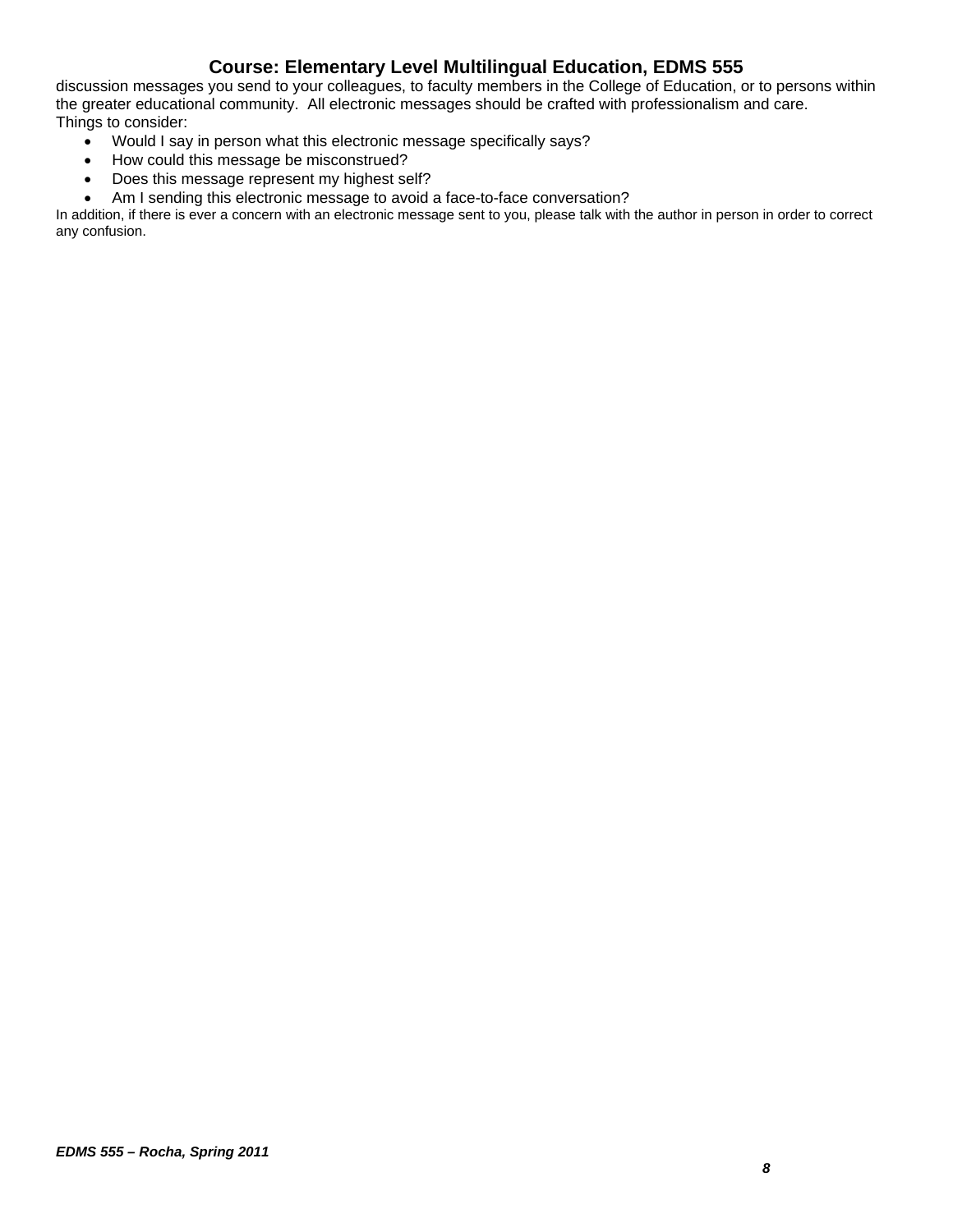discussion messages you send to your colleagues, to faculty members in the College of Education, or to persons within the greater educational community. All electronic messages should be crafted with professionalism and care. Things to consider:

- Would I say in person what this electronic message specifically says?
- How could this message be misconstrued?
- Does this message represent my highest self?
- Am I sending this electronic message to avoid a face-to-face conversation?

In addition, if there is ever a concern with an electronic message sent to you, please talk with the author in person in order to correct any confusion.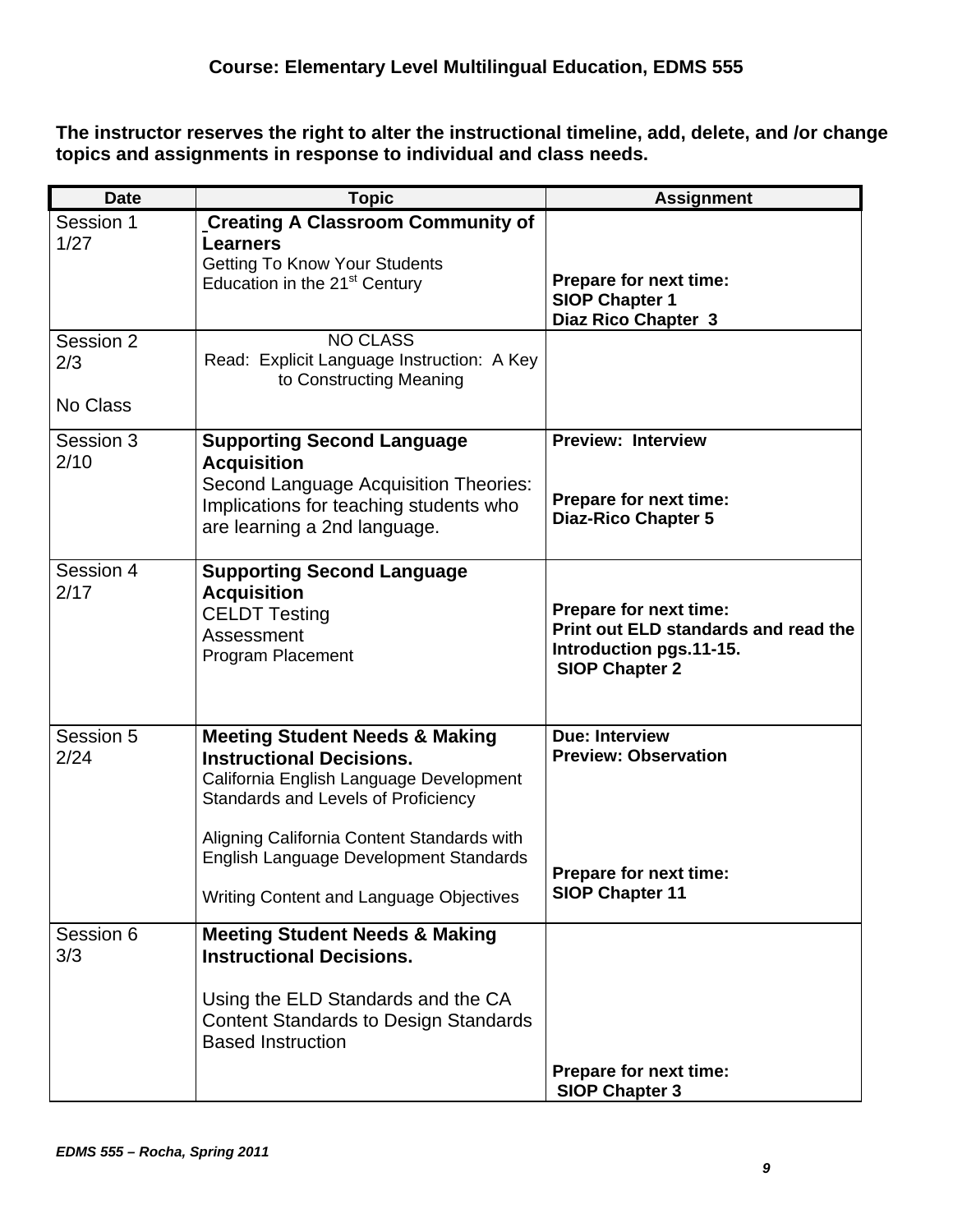**The instructor reserves the right to alter the instructional timeline, add, delete, and /or change topics and assignments in response to individual and class needs.** 

| <b>Date</b>                  | <b>Topic</b>                                                                                                                                                                                                                                                                                      | <b>Assignment</b>                                                                                                  |
|------------------------------|---------------------------------------------------------------------------------------------------------------------------------------------------------------------------------------------------------------------------------------------------------------------------------------------------|--------------------------------------------------------------------------------------------------------------------|
| Session 1<br>1/27            | <b>Creating A Classroom Community of</b><br><b>Learners</b><br><b>Getting To Know Your Students</b><br>Education in the 21 <sup>st</sup> Century                                                                                                                                                  | Prepare for next time:<br><b>SIOP Chapter 1</b><br>Diaz Rico Chapter 3                                             |
| Session 2<br>2/3<br>No Class | <b>NO CLASS</b><br>Read: Explicit Language Instruction: A Key<br>to Constructing Meaning                                                                                                                                                                                                          |                                                                                                                    |
|                              |                                                                                                                                                                                                                                                                                                   |                                                                                                                    |
| Session 3<br>2/10            | <b>Supporting Second Language</b><br><b>Acquisition</b><br>Second Language Acquisition Theories:<br>Implications for teaching students who<br>are learning a 2nd language.                                                                                                                        | <b>Preview: Interview</b><br>Prepare for next time:<br><b>Diaz-Rico Chapter 5</b>                                  |
| Session 4<br>2/17            | <b>Supporting Second Language</b><br><b>Acquisition</b><br><b>CELDT Testing</b><br>Assessment<br>Program Placement                                                                                                                                                                                | Prepare for next time:<br>Print out ELD standards and read the<br>Introduction pgs.11-15.<br><b>SIOP Chapter 2</b> |
| Session 5<br>2/24            | <b>Meeting Student Needs &amp; Making</b><br><b>Instructional Decisions.</b><br>California English Language Development<br>Standards and Levels of Proficiency<br>Aligning California Content Standards with<br>English Language Development Standards<br>Writing Content and Language Objectives | <b>Due: Interview</b><br><b>Preview: Observation</b><br>Prepare for next time:<br><b>SIOP Chapter 11</b>           |
| Session 6<br>3/3             | <b>Meeting Student Needs &amp; Making</b><br><b>Instructional Decisions.</b><br>Using the ELD Standards and the CA<br><b>Content Standards to Design Standards</b><br><b>Based Instruction</b>                                                                                                    | Prepare for next time:<br><b>SIOP Chapter 3</b>                                                                    |